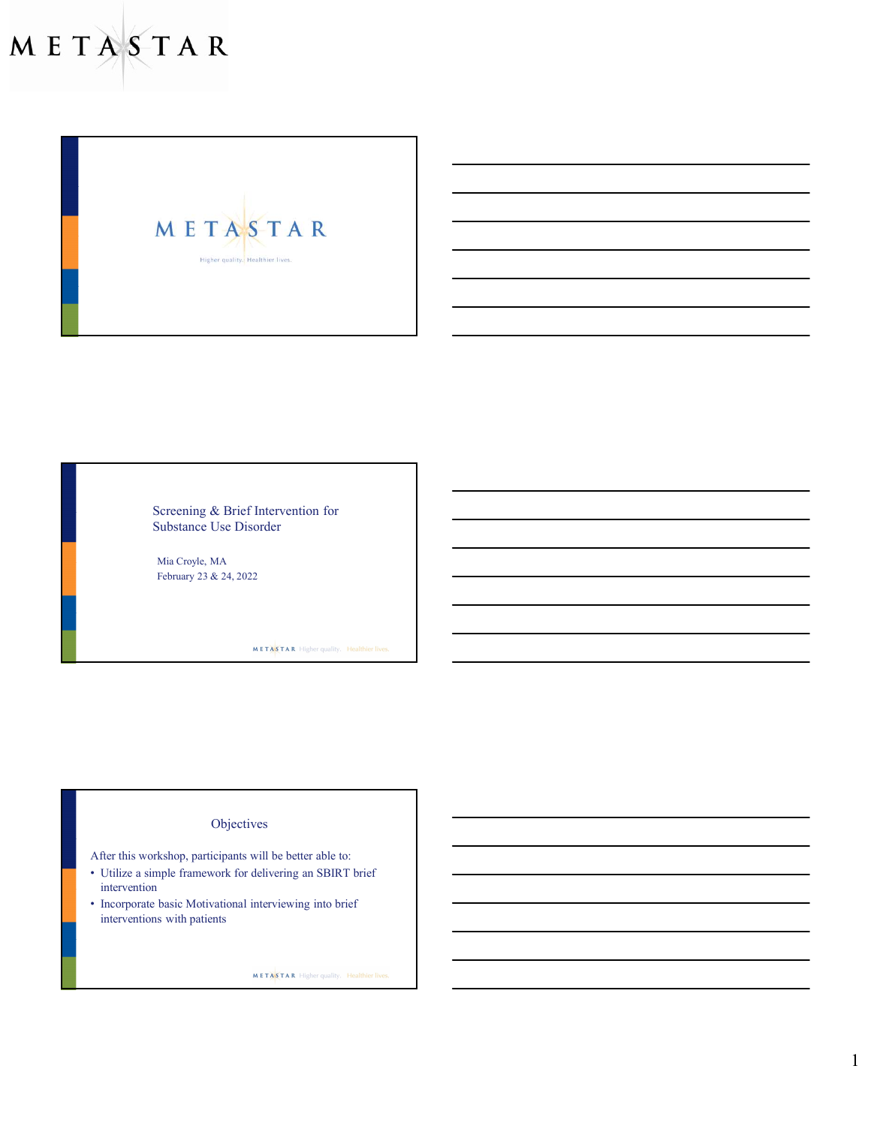METASTAR Higher quality. Healthier lives.

> Screening & Brief Intervention for Substance Use Disorder

Mia Croyle, MA February 23 & 24, 2022

METASTAR Higher quality. Healthier lives.

# **Objectives**

- After this workshop, participants will be better able to:
- Utilize a simple framework for delivering an SBIRT brief intervention
- Incorporate basic Motivational interviewing into brief interventions with patients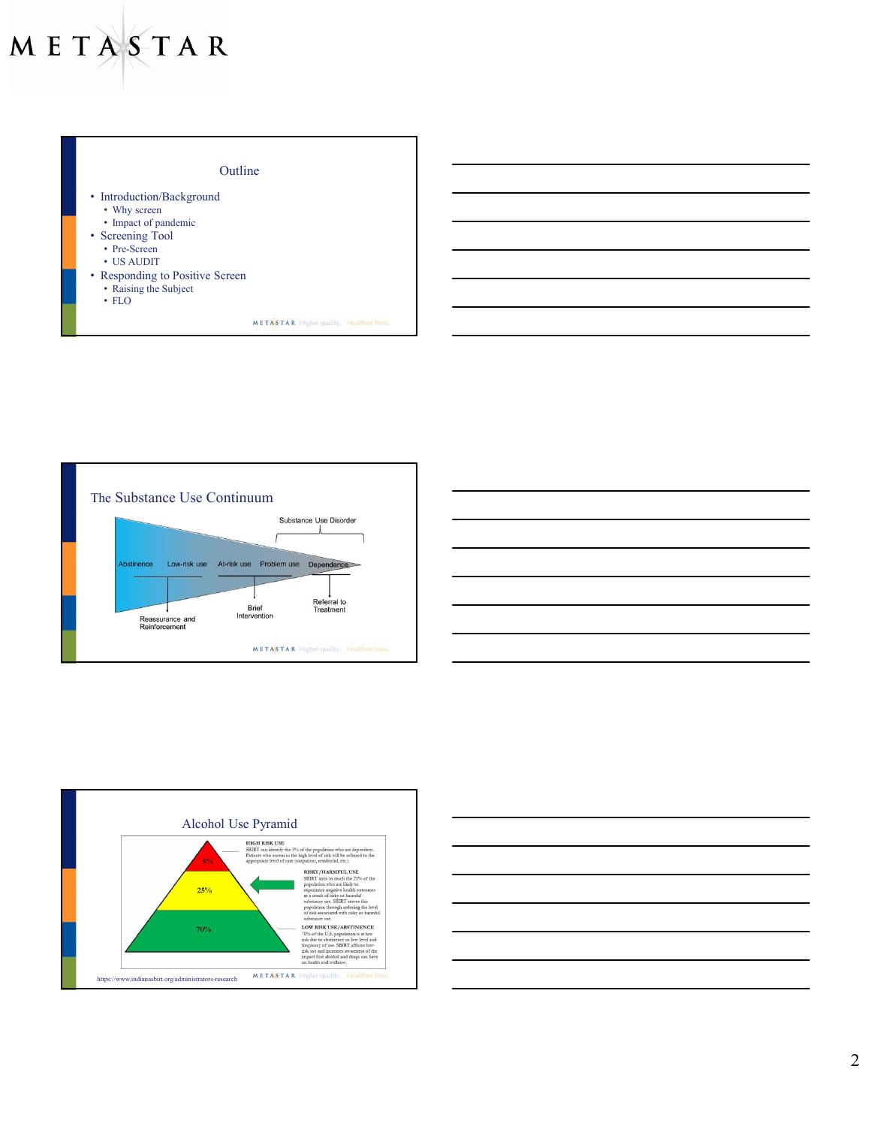







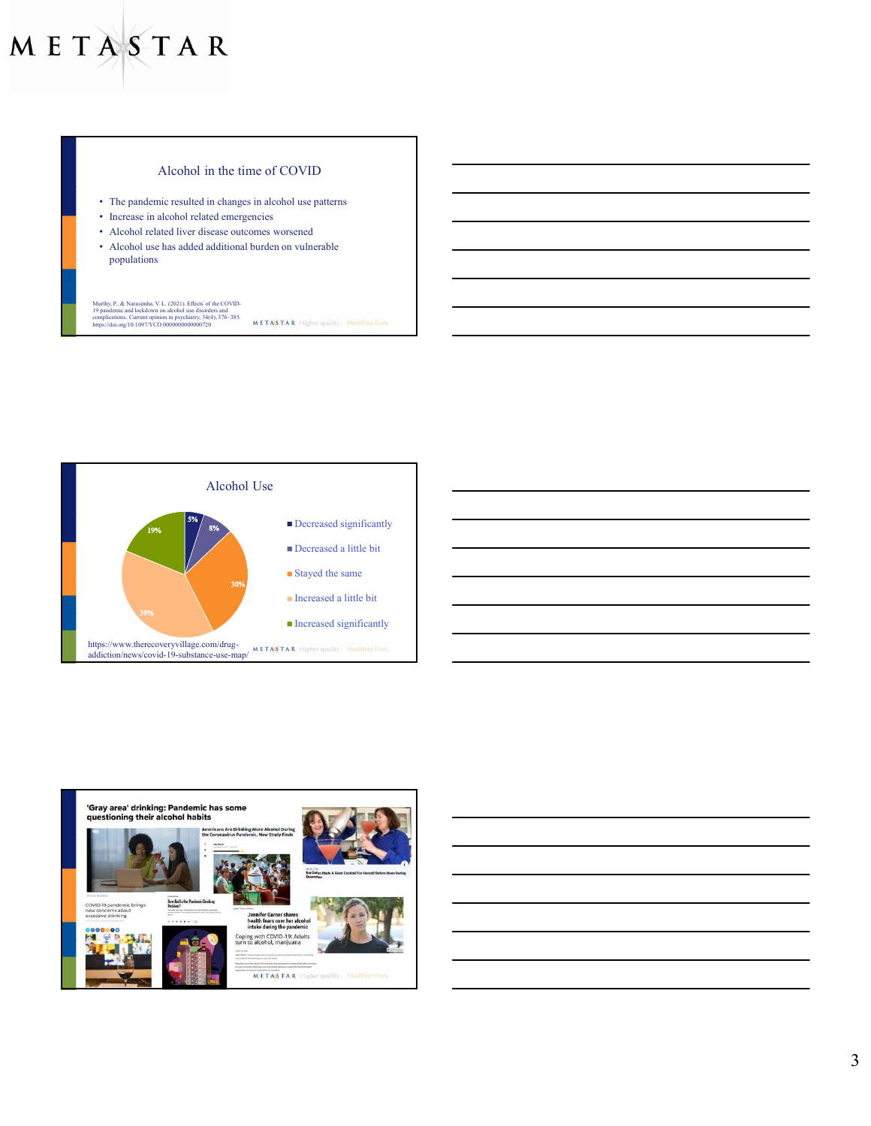## Alcohol in the time of COVID

- The pandemic resulted in changes in alcohol use patterns
- Increase in alcohol related emergencies
- Alcohol related liver disease outcomes worsened
- Alcohol use has added additional burden on vulnerable populations

# Murthy, P., & Narasimha, V. L. (2021). Effects of the COVID-<br>19 pandemic and lockdown on alcohol use disorders and<br>complications. Current opinion in psychiatry, 34(4), 376–385.<br>https://doi.org/10.1097/YCO.00000000000000000





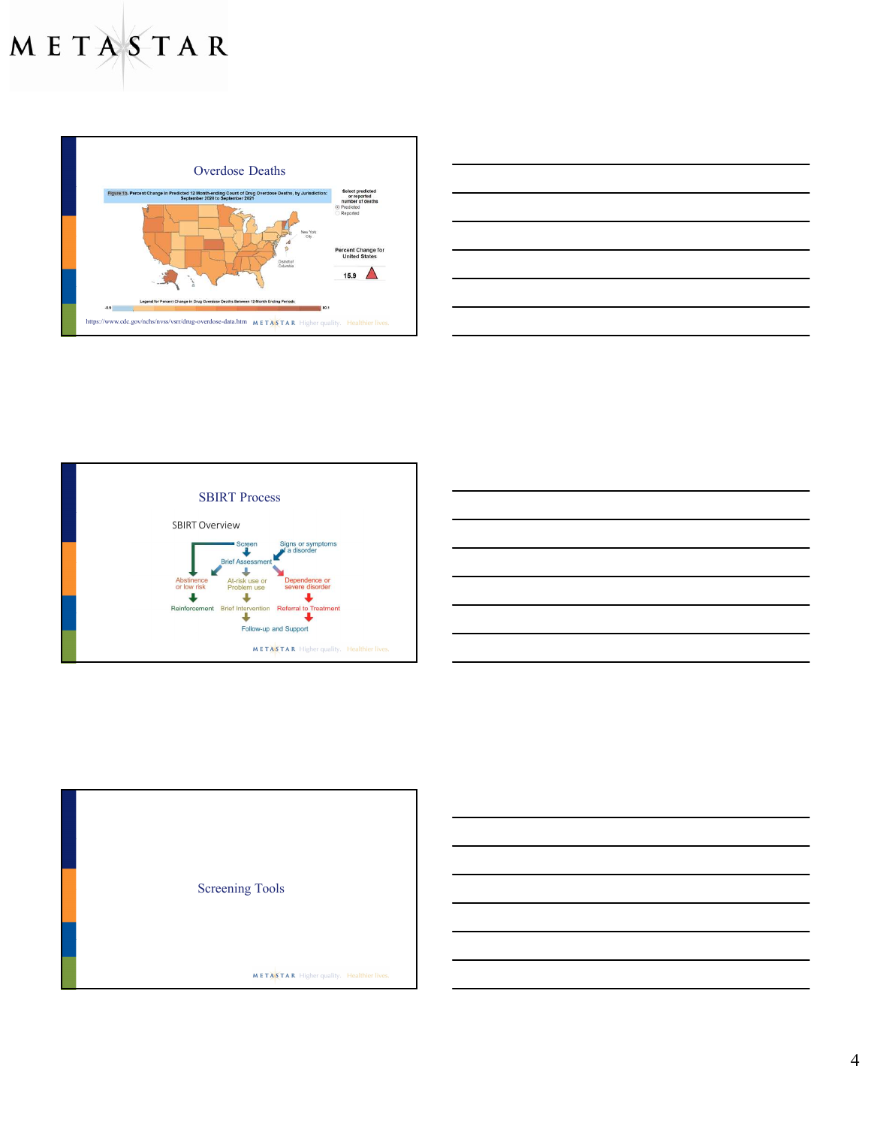

| <u>state and the state of the state of the state of the state of the state of the state of the state of the state of the state of the state of the state of the state of the state of the state of the state of the state of the</u> |
|--------------------------------------------------------------------------------------------------------------------------------------------------------------------------------------------------------------------------------------|
|                                                                                                                                                                                                                                      |
|                                                                                                                                                                                                                                      |
|                                                                                                                                                                                                                                      |
|                                                                                                                                                                                                                                      |
|                                                                                                                                                                                                                                      |
|                                                                                                                                                                                                                                      |
| ,我们也不能会在这里,我们的人们就会在这里,我们的人们就会在这里,我们的人们就会在这里,我们的人们就会在这里,我们的人们就会在这里,我们的人们就会在这里,我们的                                                                                                                                                     |
|                                                                                                                                                                                                                                      |







4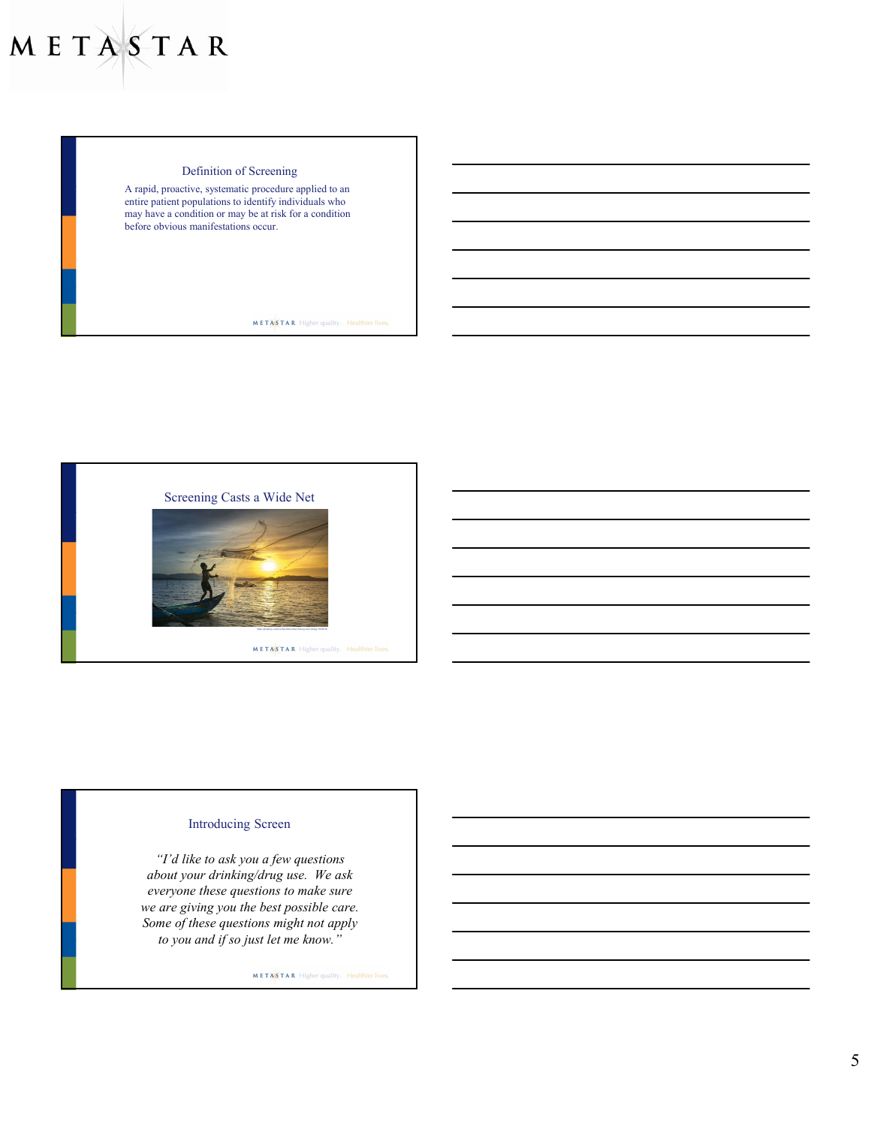## Definition of Screening

A rapid, proactive, systematic procedure applied to an entire patient populations to identify individuals who may have a condition or may be at risk for a condition before obvious manifestations occur.

**METASTAR** Higher quality. Healthier lives.



# Introducing Screen

"I'd like to ask you a few questions about your drinking/drug use. We ask everyone these questions to make sure we are giving you the best possible care. Some of these questions might not apply to you and if so just let me know."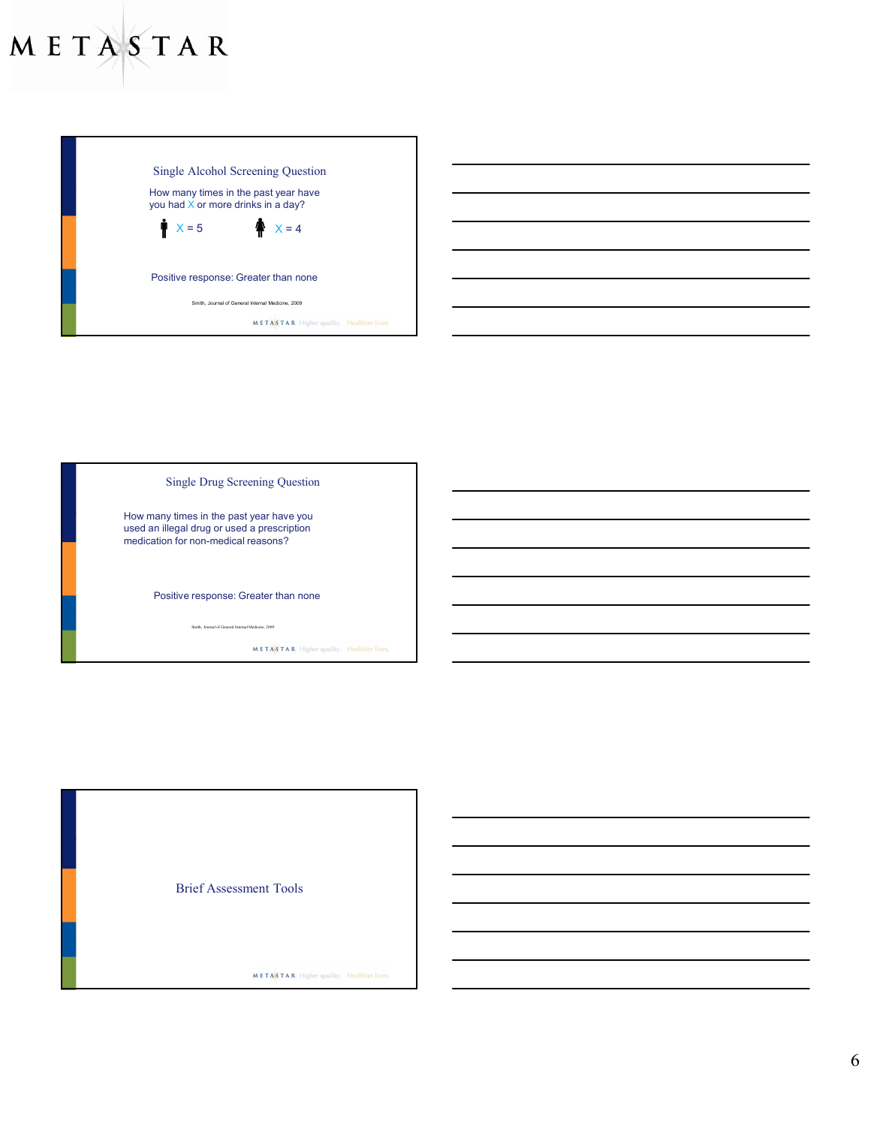

How many times in the past year have you<br>used an illegal drug or used a prescription<br>medication for non-medical reasons?<br>Positive response: Greater than none<br>state beam of Consultant of Consultant in the past of  $\frac{1}{2}$ used an illegal drug or used a prescription medication for non-medical reasons? Positive response: Greater than none **METASTAR** Higher quality. Healthier lives.

Brief Assessment Tools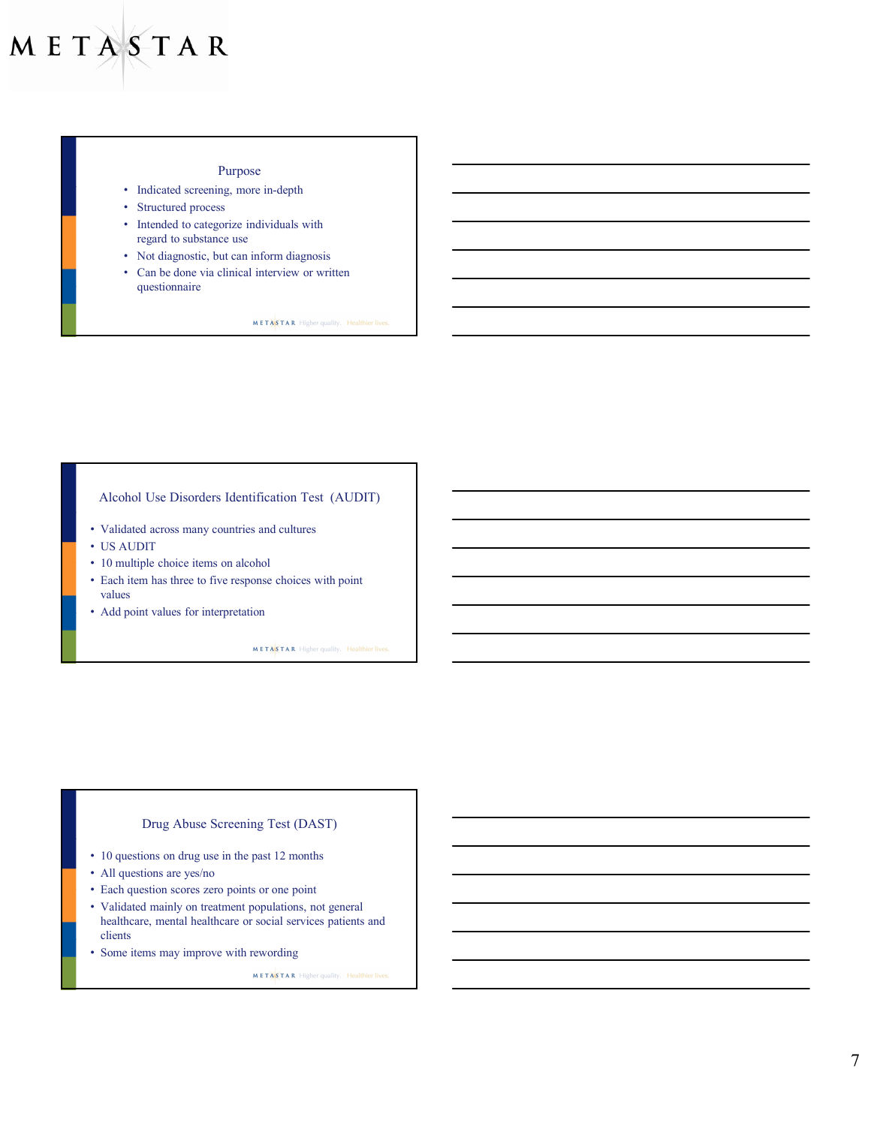## Purpose

- Indicated screening, more in-depth
- Structured process
- Intended to categorize individuals with regard to substance use
- Not diagnostic, but can inform diagnosis
- Can be done via clinical interview or written questionnaire

**METASTAR** Higher quality. Healthier lives.

## Alcohol Use Disorders Identification Test (AUDIT)

AUDIT CONTINUES IN A 1990 FOR DESCRIPTION OF REAL PROPERTY.

- Validated across many countries and cultures
- US AUDIT
- 10 multiple choice items on alcohol
- Each item has three to five response choices with point values
- Add point values for interpretation

METASTAR Higher quality. Healthier lives

## Drug Abuse Screening Test (DAST)

DAST AND DESCRIPTION OF PROPERTY AND RESIDENCE

- 10 questions on drug use in the past 12 months
- All questions are yes/no
- Each question scores zero points or one point
- Validated mainly on treatment populations, not general healthcare, mental healthcare or social services patients and clients
- Some items may improve with rewording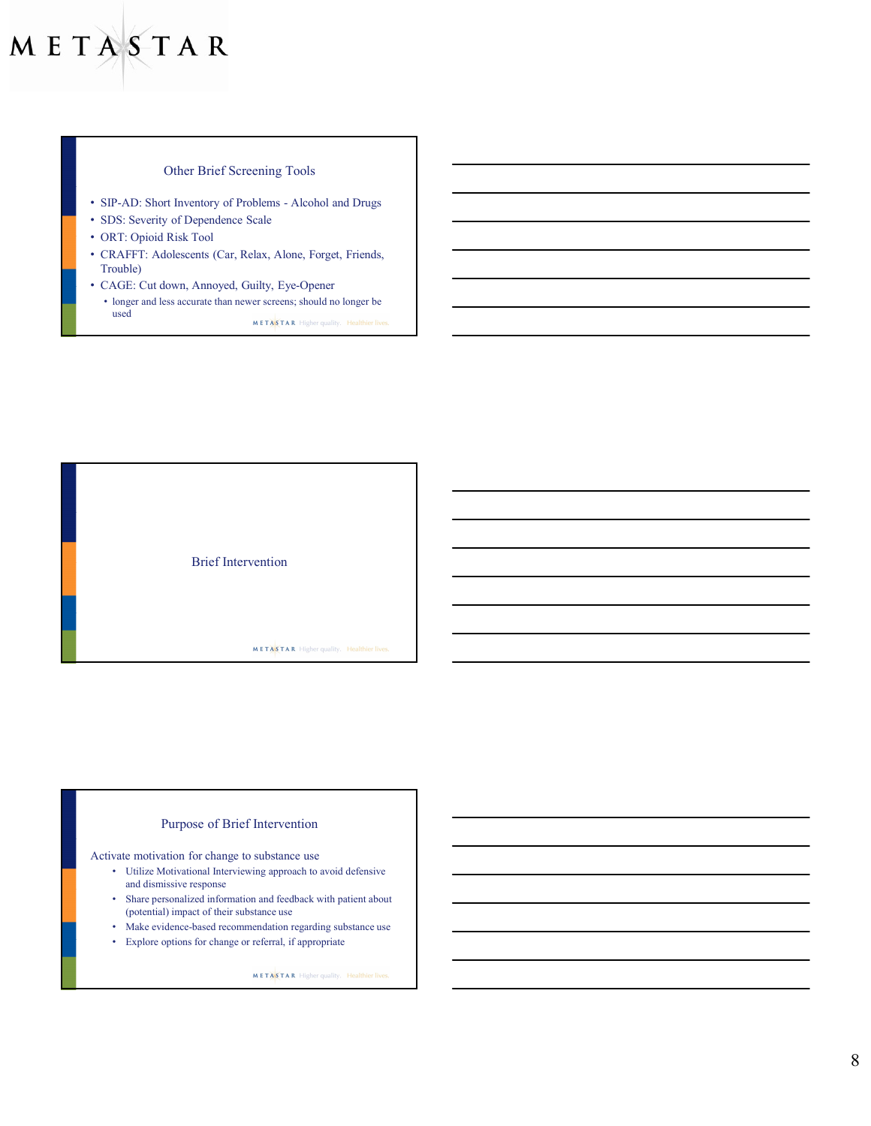# Other Brief Screening Tools

- 
- SDS: Severity of Dependence Scale
- ORT: Opioid Risk Tool
- **ASTAR**<br>
SIP-AD: Short Inventory of Problems Alcohol and Drugs<br>
SIP-S. Short Inventory of Problems Alcohol and Drugs<br>
SDS: Severity of Dependence Scale<br>
CRT: Opioid Risk Tool<br>
CAGE: Cut down, Annoyed, Guilty, • CRAFFT: Adolescents (Car, Relax, Alone, Forget, Friends, Trouble)
- CAGE: Cut down, Annoyed, Guilty, Eye-Opener • longer and less accurate than newer screens; should no longer be **used**<br> $METAS$ TAR Higher quality. Healthier lives.

Brief Intervention METASTAR Higher quality. Healthier lives

# Purpose of Brief Intervention

Activate motivation for change to substance use

- Utilize Motivational Interviewing approach to avoid defensive and dismissive response
- Share personalized information and feedback with patient about (potential) impact of their substance use
- Make evidence-based recommendation regarding substance use
- Explore options for change or referral, if appropriate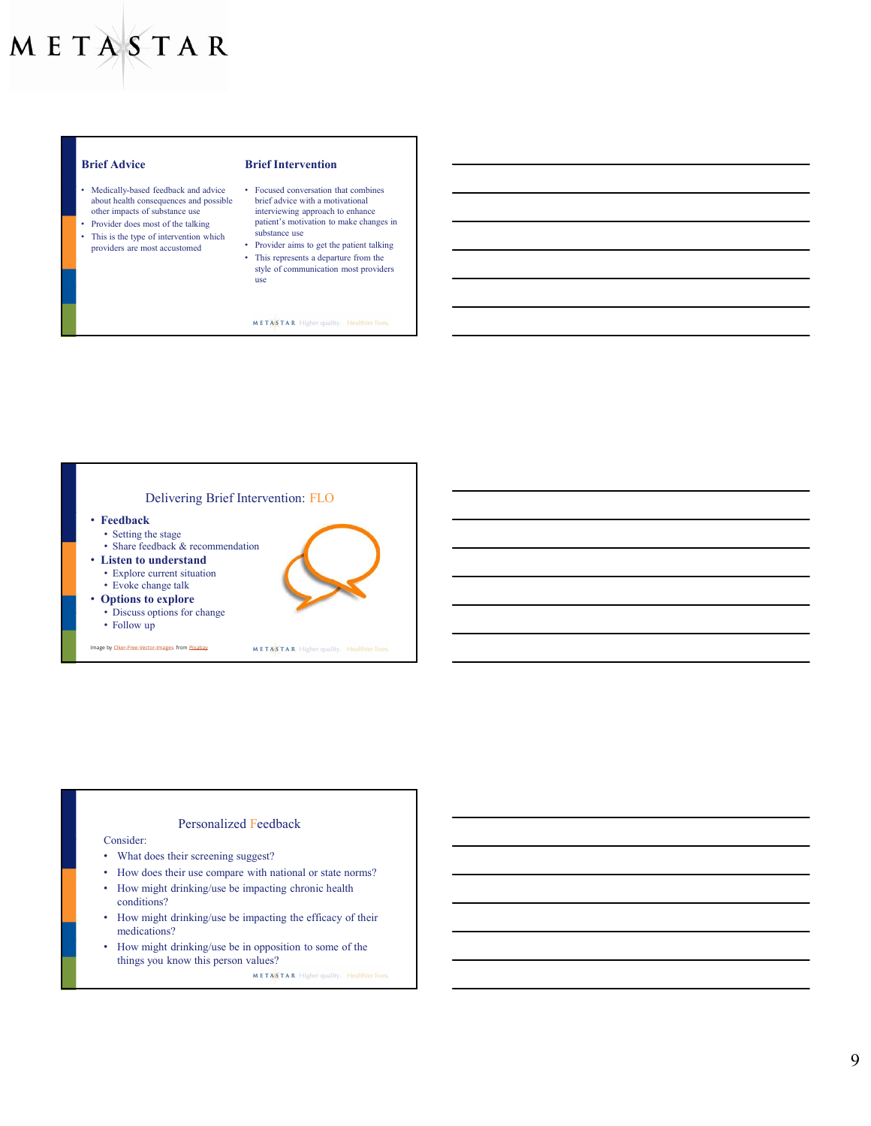- Medically-based feedback and advice Focused conversation that combines<br>about health consequences and possible brief advice with a motivational about health consequences and possible
- Provider does most of the talking patient's motion values and the talking patient's motion which substance use
- This is the type of intervention which<br>providers are most accustomed

#### Brief Advice Brief Intervention

- Medically-based feedback and advice Focused conversation that combines<br>about health consequences and possible brief advice with a motivational<br>other impacts of substance use interviewing approach to enhance patient's motivation to make changes in
- providers are most accustomed Provider aims to get the patient talking • This represents a departure from the style of communication most providers use

**METASTAR** Higher quality. Healthier lives.



# Personalized Feedback

#### Consider:

- What does their screening suggest?
- How does their use compare with national or state norms?
- How might drinking/use be impacting chronic health conditions?
- How might drinking/use be impacting the efficacy of their medications?
- How might drinking/use be in opposition to some of the things you know this person values?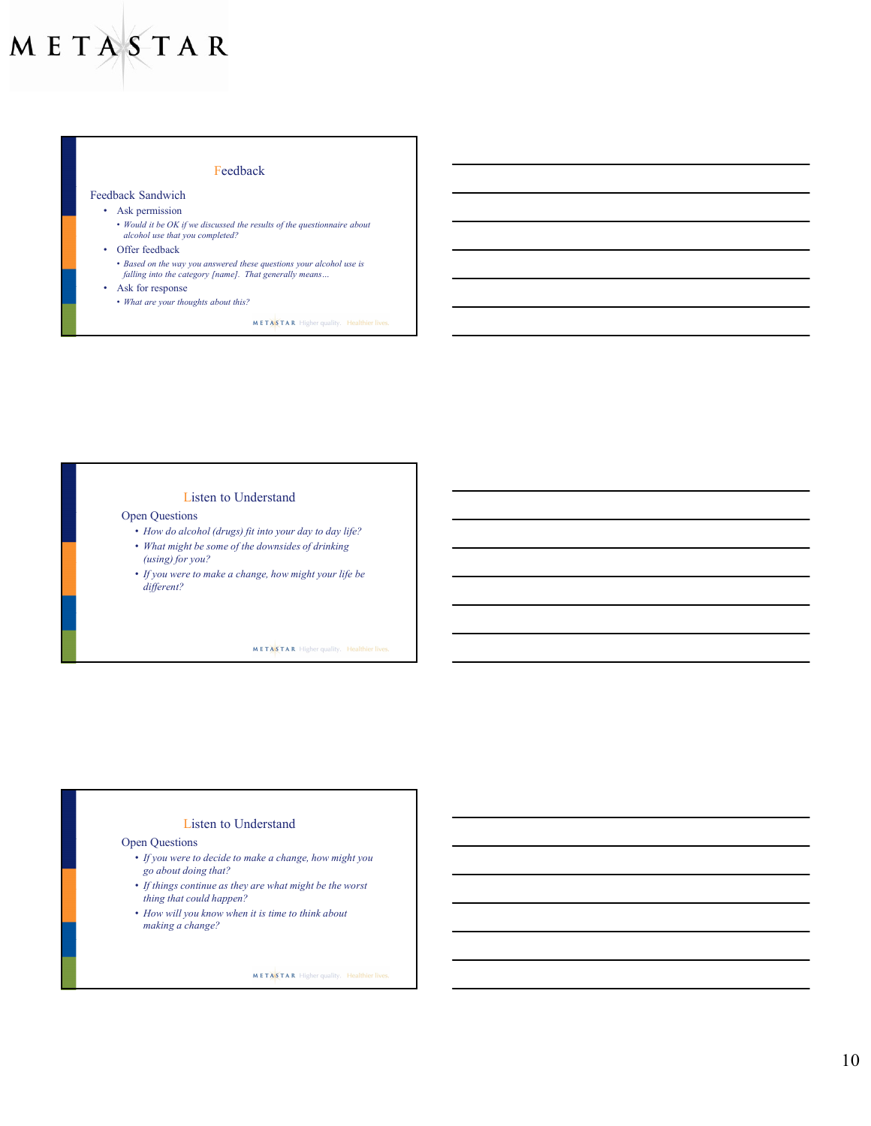# Feedback

# Feedback Sandwich

- Ask permission
	- Would it be OK if we discussed the results of the questionnaire about alcohol use that you completed?
- Offer feedback
	- Based on the way you answered these questions your alcohol use is  $falling$  into the category [name]. That generally means...
- Ask for response
- What are your thoughts about this?

**METASTAR** Higher quality. Healthier lives.

### Listen to Understand

## Open Questions

- How do alcohol (drugs) fit into your day to day life?
- What might be some of the downsides of drinking (using) for you?
- If you were to make a change, how might your life be different?

**METASTAR** Higher quality. Healthier lives

### Listen to Understand

## Open Questions

- If you were to decide to make a change, how might you go about doing that?
- If things continue as they are what might be the worst
- thing that could happen?
- How will you know when it is time to think about making a change?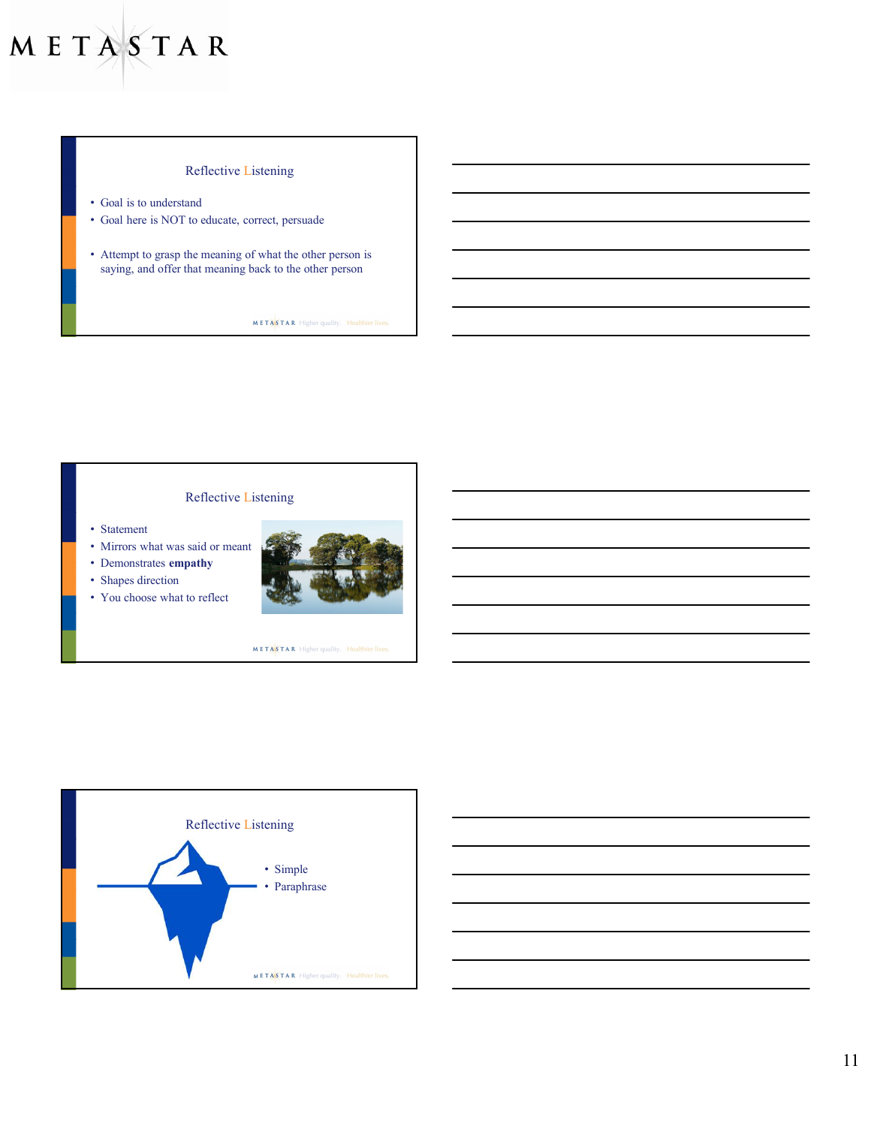# Reflective Listening

- Goal is to understand
- Goal here is NOT to educate, correct, persuade
- Attempt to grasp the meaning of what the other person is saying, and offer that meaning back to the other person

**METASTAR** Higher quality. Healthier lives.

# Reflective Listening

- Statement
- Mirrors what was said or meant
- Demonstrates empathy
- Shapes direction
- You choose what to reflect





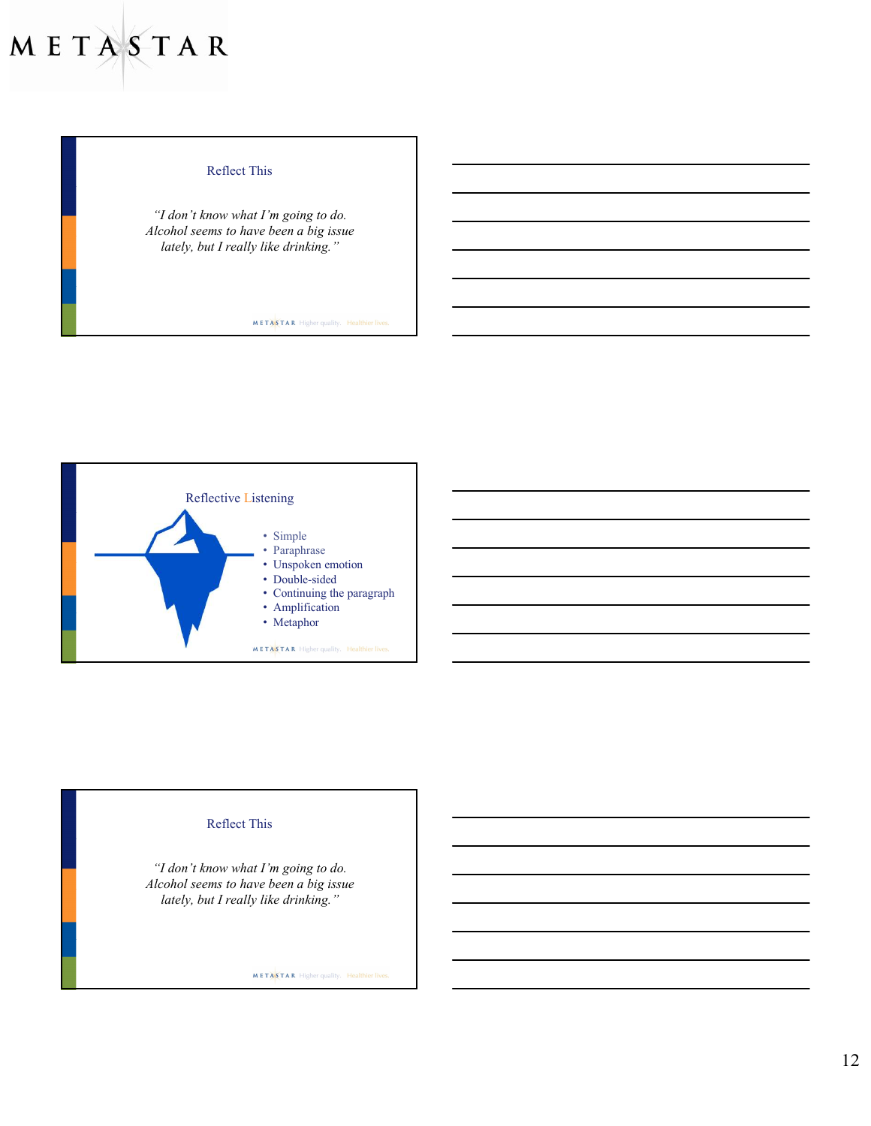# Reflect This

"I don't know what I'm going to do. Alcohol seems to have been a big issue lately, but I really like drinking."

METASTAR Higher quality. Healthier lives.



# Reflect This

"I don't know what I'm going to do. Alcohol seems to have been a big issue lately, but I really like drinking."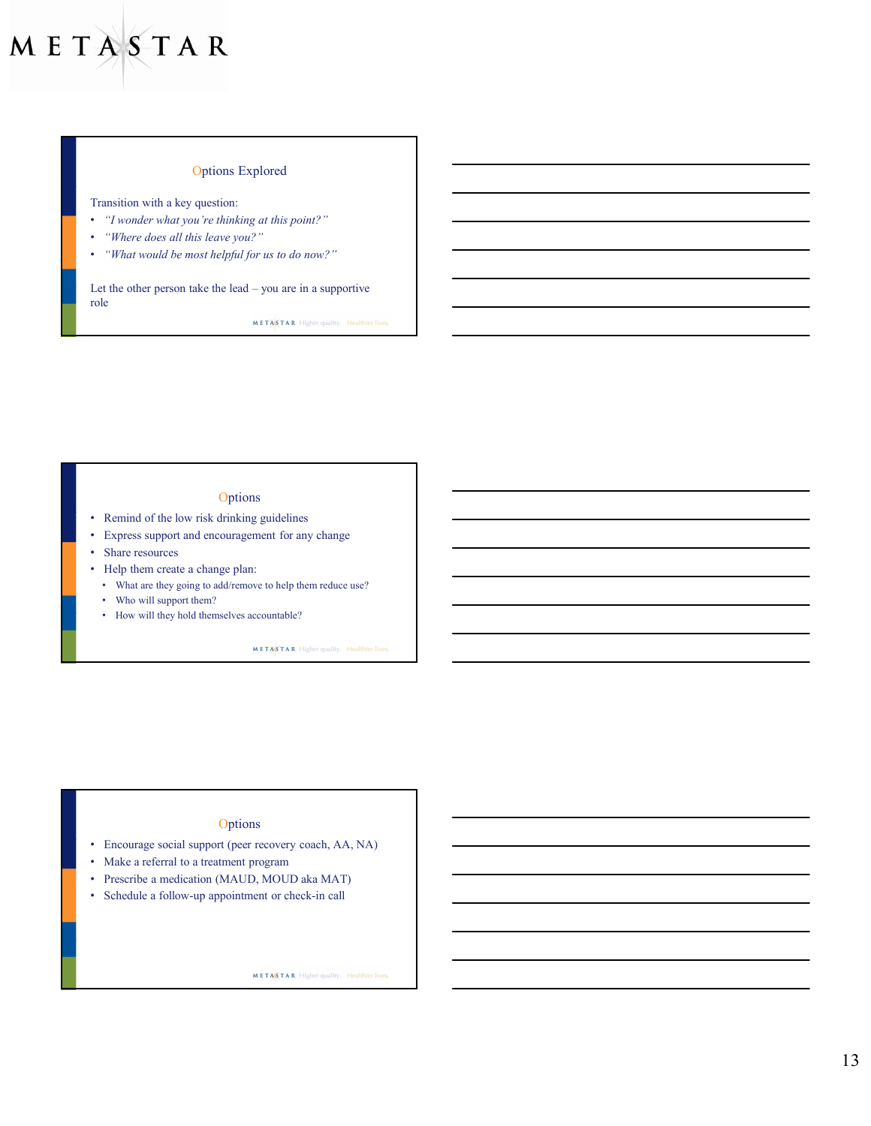# Options Explored

Transition with a key question:

- "I wonder what you're thinking at this point?"
- "Where does all this leave you?"
- "What would be most helpful for us to do now?"

Let the other person take the lead – you are in a supportive role and the state of the state of the state of the state of the state of the state of the state of the state of the state of the state of the state of the state of the state of the state of the state of the state of the s

### **Options**

- Remind of the low risk drinking guidelines
- Express support and encouragement for any change
- Share resources
- Help them create a change plan:
	- What are they going to add/remove to help them reduce use?
	- Who will support them?
	- How will they hold themselves accountable?

METASTAR Higher quality. Healthier lives

## **Options**

- Encourage social support (peer recovery coach, AA, NA)
- Make a referral to a treatment program
- Prescribe a medication (MAUD, MOUD aka MAT)
- Schedule a follow-up appointment or check-in call